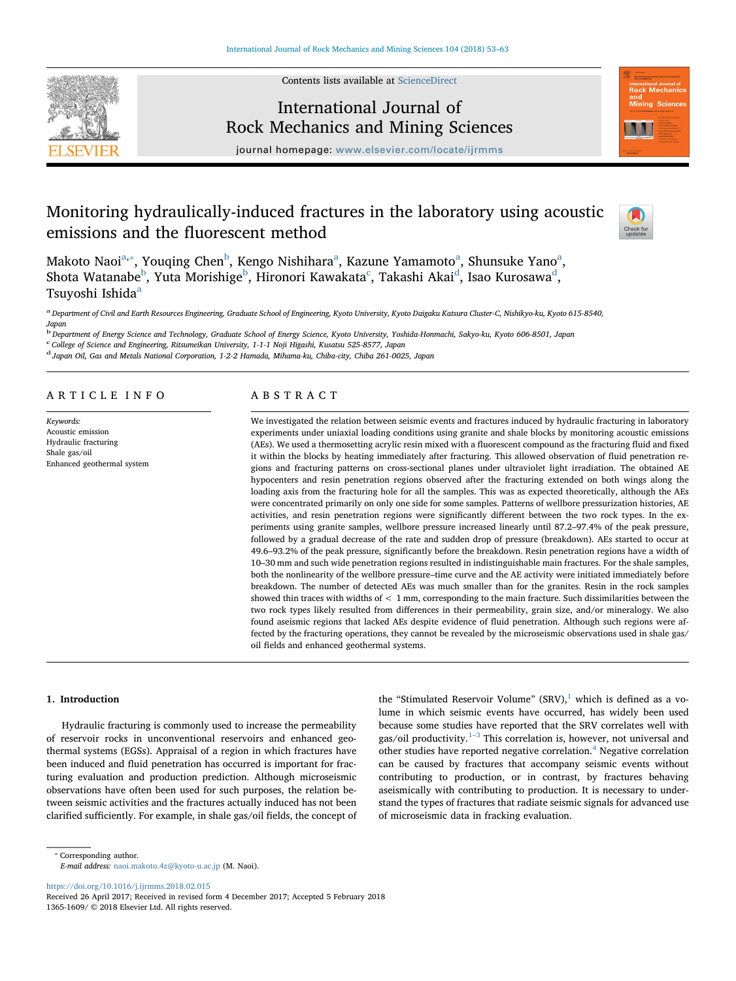

Contents lists available at [ScienceDirect](http://www.sciencedirect.com/science/journal/13651609)

# International Journal of Rock Mechanics and Mining Sciences



journal homepage: [www.elsevier.com/locate/ijrmms](https://www.elsevier.com/locate/ijrmms)

# Monitoring hydraulically-induced fractures in the laboratory using acoustic emissions and the fluorescent method



M[a](#page-0-0)koto Naoi $\mathrm{a},\mathrm{s}$ , Youqing Chen $\mathrm{^{b}}$  $\mathrm{^{b}}$  $\mathrm{^{b}}$ , Kengo Nishihara $\mathrm{^{a}}$ , Kazune Yamamoto $\mathrm{^{a}}$ , Shunsuke Yano $\mathrm{^{a}}$ , Shota Watana[b](#page-0-2)e $^{\rm b}$ , Yuta Morishige $^{\rm b}$ , Hironori Kawakata $^{\rm c}$  $^{\rm c}$  $^{\rm c}$ , Takashi Akai $^{\rm d}$  $^{\rm d}$  $^{\rm d}$ , Isao Kurosawa $^{\rm d}$ , Tsuyoshi Ishid[a](#page-0-0)<sup>a</sup>

<span id="page-0-0"></span>a Department of Civil and Earth Resources Engineering, Graduate School of Engineering, Kyoto University, Kyoto Daigaku Katsura Cluster-C, Nishikyo-ku, Kyoto 615-8540, Japan

<span id="page-0-2"></span>b<br>Department of Energy Science and Technology, Graduate School of Energy Science, Kyoto University, Yoshida-Honmachi, Sakyo-ku, Kyoto 606-8501, Japan

<span id="page-0-3"></span>c<br>College of Science and Engineering, Ritsumeikan University, 1-1-1 Noji Higashi, Kusatsu 525-8577, Japan

<span id="page-0-4"></span><sup>d</sup> Japan Oil, Gas and Metals National Corporation, 1-2-2 Hamada, Mihama-ku, Chiba-city, Chiba 261-0025, Japan

### ARTICLE INFO

Keywords: Acoustic emission Hydraulic fracturing Shale gas/oil Enhanced geothermal system

### ABSTRACT

We investigated the relation between seismic events and fractures induced by hydraulic fracturing in laboratory experiments under uniaxial loading conditions using granite and shale blocks by monitoring acoustic emissions (AEs). We used a thermosetting acrylic resin mixed with a fluorescent compound as the fracturing fluid and fixed it within the blocks by heating immediately after fracturing. This allowed observation of fluid penetration regions and fracturing patterns on cross-sectional planes under ultraviolet light irradiation. The obtained AE hypocenters and resin penetration regions observed after the fracturing extended on both wings along the loading axis from the fracturing hole for all the samples. This was as expected theoretically, although the AEs were concentrated primarily on only one side for some samples. Patterns of wellbore pressurization histories, AE activities, and resin penetration regions were significantly different between the two rock types. In the experiments using granite samples, wellbore pressure increased linearly until 87.2–97.4% of the peak pressure, followed by a gradual decrease of the rate and sudden drop of pressure (breakdown). AEs started to occur at 49.6–93.2% of the peak pressure, significantly before the breakdown. Resin penetration regions have a width of 10–30 mm and such wide penetration regions resulted in indistinguishable main fractures. For the shale samples, both the nonlinearity of the wellbore pressure–time curve and the AE activity were initiated immediately before breakdown. The number of detected AEs was much smaller than for the granites. Resin in the rock samples showed thin traces with widths of < 1 mm, corresponding to the main fracture. Such dissimilarities between the two rock types likely resulted from differences in their permeability, grain size, and/or mineralogy. We also found aseismic regions that lacked AEs despite evidence of fluid penetration. Although such regions were affected by the fracturing operations, they cannot be revealed by the microseismic observations used in shale gas/ oil fields and enhanced geothermal systems.

#### 1. Introduction

Hydraulic fracturing is commonly used to increase the permeability of reservoir rocks in unconventional reservoirs and enhanced geothermal systems (EGSs). Appraisal of a region in which fractures have been induced and fluid penetration has occurred is important for fracturing evaluation and production prediction. Although microseismic observations have often been used for such purposes, the relation between seismic activities and the fractures actually induced has not been clarified sufficiently. For example, in shale gas/oil fields, the concept of

the "Stimulated Reservoir Volume" (SRV), $1$  which is defined as a volume in which seismic events have occurred, has widely been used because some studies have reported that the SRV correlates well with gas/oil productivity. $1-3$  $1-3$  This correlation is, however, not universal and other studies have reported negative correlation. $4$  Negative correlation can be caused by fractures that accompany seismic events without contributing to production, or in contrast, by fractures behaving aseismically with contributing to production. It is necessary to understand the types of fractures that radiate seismic signals for advanced use of microseismic data in fracking evaluation.

<https://doi.org/10.1016/j.ijrmms.2018.02.015>

<span id="page-0-1"></span><sup>⁎</sup> Corresponding author.

E-mail address: [naoi.makoto.4z@kyoto-u.ac.jp](mailto:naoi.makoto.4z@kyoto-u.ac.jp) (M. Naoi).

Received 26 April 2017; Received in revised form 4 December 2017; Accepted 5 February 2018 1365-1609/ © 2018 Elsevier Ltd. All rights reserved.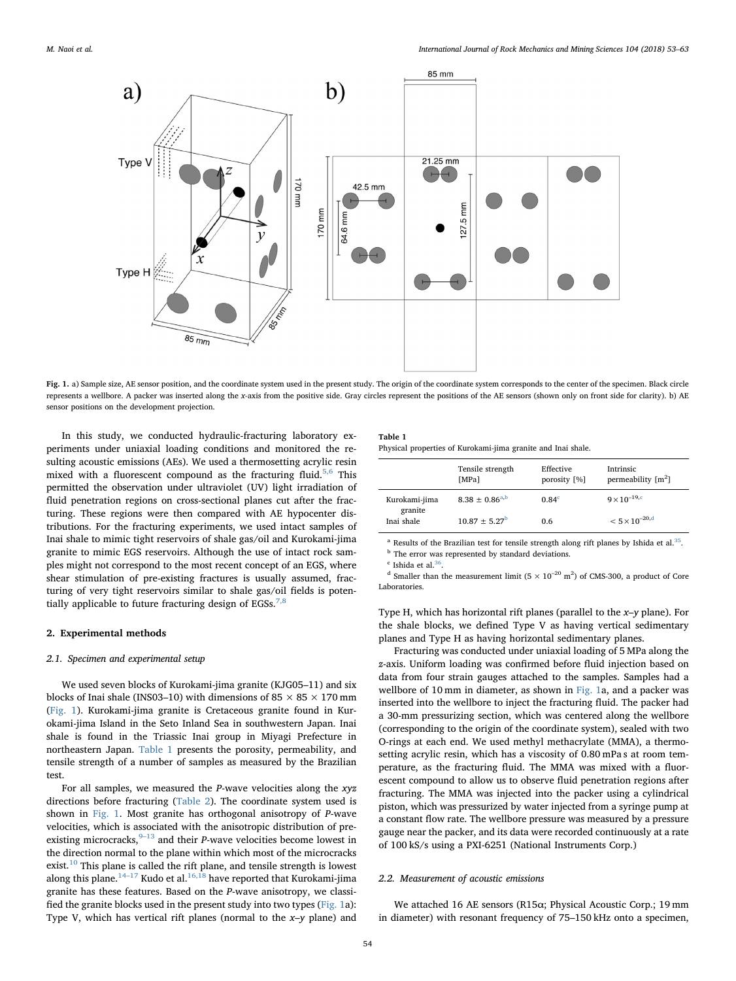<span id="page-1-0"></span>

Fig. 1. a) Sample size, AE sensor position, and the coordinate system used in the present study. The origin of the coordinate system corresponds to the center of the specimen. Black circle represents a wellbore. A packer was inserted along the x-axis from the positive side. Gray circles represent the positions of the AE sensors (shown only on front side for clarity). b) AE sensor positions on the development projection.

In this study, we conducted hydraulic-fracturing laboratory experiments under uniaxial loading conditions and monitored the resulting acoustic emissions (AEs). We used a thermosetting acrylic resin mixed with a fluorescent compound as the fracturing fluid.<sup>[5,6](#page--1-2)</sup> This permitted the observation under ultraviolet (UV) light irradiation of fluid penetration regions on cross-sectional planes cut after the fracturing. These regions were then compared with AE hypocenter distributions. For the fracturing experiments, we used intact samples of Inai shale to mimic tight reservoirs of shale gas/oil and Kurokami-jima granite to mimic EGS reservoirs. Although the use of intact rock samples might not correspond to the most recent concept of an EGS, where shear stimulation of pre-existing fractures is usually assumed, fracturing of very tight reservoirs similar to shale gas/oil fields is poten-tially applicable to future fracturing design of EGSs.<sup>[7,8](#page--1-3)</sup>

#### 2. Experimental methods

#### 2.1. Specimen and experimental setup

We used seven blocks of Kurokami-jima granite (KJG05–11) and six blocks of Inai shale (INS03–10) with dimensions of 85  $\times$  85  $\times$  170 mm ([Fig. 1](#page-1-0)). Kurokami-jima granite is Cretaceous granite found in Kurokami-jima Island in the Seto Inland Sea in southwestern Japan. Inai shale is found in the Triassic Inai group in Miyagi Prefecture in northeastern Japan. [Table 1](#page-1-1) presents the porosity, permeability, and tensile strength of a number of samples as measured by the Brazilian test.

For all samples, we measured the  $P$ -wave velocities along the xyz directions before fracturing ([Table 2](#page--1-4)). The coordinate system used is shown in [Fig. 1.](#page-1-0) Most granite has orthogonal anisotropy of P-wave velocities, which is associated with the anisotropic distribution of preexisting microcracks,  $9-13$  $9-13$  and their *P*-wave velocities become lowest in the direction normal to the plane within which most of the microcracks exist.<sup>[10](#page--1-6)</sup> This plane is called the rift plane, and tensile strength is lowest along this plane.<sup>14–[17](#page--1-7)</sup> Kudo et al.<sup>[16,18](#page--1-8)</sup> have reported that Kurokami-jima granite has these features. Based on the P-wave anisotropy, we classified the granite blocks used in the present study into two types ([Fig. 1](#page-1-0)a): Type V, which has vertical rift planes (normal to the x–y plane) and

#### <span id="page-1-1"></span>Table 1 Physical properties of Kurokami-jima granite and Inai shale.

|                          | Tensile strength<br>[MPa] | Effective<br>porosity [%] | Intrinsic<br>permeability $[m^2]$ |
|--------------------------|---------------------------|---------------------------|-----------------------------------|
| Kurokami-jima<br>granite | $8.38 \pm 0.86^{a,b}$     | 0.84 <sup>c</sup>         | $9 \times 10^{-19,c}$             |
| Inai shale               | $10.87 \pm 5.27^{\rm b}$  | 0.6                       | $< 5 \times 10^{-20,d}$           |

<span id="page-1-2"></span><sup>a</sup> Results of the Brazilian test for tensile strength along rift planes by Ishida et al.<sup>[35](#page--1-9)</sup>. <sup>b</sup> The error was represented by standard deviations.

<span id="page-1-4"></span><span id="page-1-3"></span> $c$  Ishida et al.<sup>[36](#page--1-10)</sup>.

<span id="page-1-5"></span><sup>d</sup> Smaller than the measurement limit ( $5 \times 10^{-20}$  m<sup>2</sup>) of CMS-300, a product of Core Laboratories.

Type H, which has horizontal rift planes (parallel to the x–y plane). For the shale blocks, we defined Type V as having vertical sedimentary planes and Type H as having horizontal sedimentary planes.

Fracturing was conducted under uniaxial loading of 5 MPa along the z-axis. Uniform loading was confirmed before fluid injection based on data from four strain gauges attached to the samples. Samples had a wellbore of 10 mm in diameter, as shown in [Fig. 1a](#page-1-0), and a packer was inserted into the wellbore to inject the fracturing fluid. The packer had a 30-mm pressurizing section, which was centered along the wellbore (corresponding to the origin of the coordinate system), sealed with two O-rings at each end. We used methyl methacrylate (MMA), a thermosetting acrylic resin, which has a viscosity of 0.80 mPa s at room temperature, as the fracturing fluid. The MMA was mixed with a fluorescent compound to allow us to observe fluid penetration regions after fracturing. The MMA was injected into the packer using a cylindrical piston, which was pressurized by water injected from a syringe pump at a constant flow rate. The wellbore pressure was measured by a pressure gauge near the packer, and its data were recorded continuously at a rate of 100 kS/s using a PXI-6251 (National Instruments Corp.)

#### 2.2. Measurement of acoustic emissions

We attached 16 AE sensors (R15α; Physical Acoustic Corp.; 19 mm in diameter) with resonant frequency of 75–150 kHz onto a specimen,